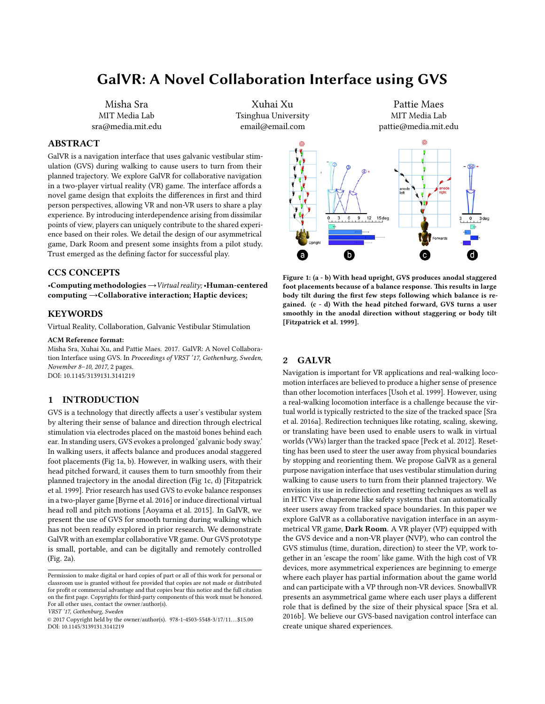# GalVR: A Novel Collaboration Interface using GVS

Misha Sra MIT Media Lab sra@media.mit.edu

Xuhai Xu Tsinghua University email@email.com

Pattie Maes MIT Media Lab pattie@media.mit.edu

# ABSTRACT

GalVR is a navigation interface that uses galvanic vestibular stimulation (GVS) during walking to cause users to turn from their planned trajectory. We explore GalVR for collaborative navigation in a two-player virtual reality (VR) game. The interface affords a novel game design that exploits the differences in first and third person perspectives, allowing VR and non-VR users to share a play experience. By introducing interdependence arising from dissimilar points of view, players can uniquely contribute to the shared experience based on their roles. We detail the design of our asymmetrical game, Dark Room and present some insights from a pilot study. Trust emerged as the defining factor for successful play.

# CCS CONCEPTS

•Computing methodologies→Virtual reality; •Human-centered computing →Collaborative interaction; Haptic devices;

#### KEYWORDS

Virtual Reality, Collaboration, Galvanic Vestibular Stimulation

#### ACM Reference format:

Misha Sra, Xuhai Xu, and Pattie Maes. 2017. GalVR: A Novel Collaboration Interface using GVS. In Proceedings of VRST '17, Gothenburg, Sweden, November 8–10, 2017, [2](#page-1-0) pages. DOI: 10.1145/3139131.3141219

# 1 INTRODUCTION

GVS is a technology that directly affects a user's vestibular system by altering their sense of balance and direction through electrical stimulation via electrodes placed on the mastoid bones behind each ear. In standing users, GVS evokes a prolonged 'galvanic body sway.' In walking users, it affects balance and produces anodal staggered foot placements (Fig [1a](#page-0-0), b). However, in walking users, with their head pitched forward, it causes them to turn smoothly from their planned trajectory in the anodal direction (Fig [1c](#page-0-0), d) [\[Fitzpatrick](#page-1-1) [et al.](#page-1-1) [1999\]](#page-1-1). Prior research has used GVS to evoke balance responses in a two-player game [\[Byrne et al.](#page-1-2) [2016\]](#page-1-2) or induce directional virtual head roll and pitch motions [\[Aoyama et al.](#page-1-3) [2015\]](#page-1-3). In GalVR, we present the use of GVS for smooth turning during walking which has not been readily explored in prior research. We demonstrate GalVR with an exemplar collaborative VR game. Our GVS prototype is small, portable, and can be digitally and remotely controlled (Fig. [2a](#page-1-4)).

VRST '17, Gothenburg, Sweden

<span id="page-0-0"></span>

Figure 1: (a - b) With head upright, GVS produces anodal staggered foot placements because of a balance response. This results in large body tilt during the first few steps following which balance is regained. (c - d) With the head pitched forward, GVS turns a user smoothly in the anodal direction without staggering or body tilt [\[Fitzpatrick et al. 1999\]](#page-1-1).

### 2 GALVR

Navigation is important for VR applications and real-walking locomotion interfaces are believed to produce a higher sense of presence than other locomotion interfaces [\[Usoh et al.](#page-1-5) [1999\]](#page-1-5). However, using a real-walking locomotion interface is a challenge because the virtual world is typically restricted to the size of the tracked space [\[Sra](#page-1-6) [et al.](#page-1-6) [2016a\]](#page-1-6). Redirection techniques like rotating, scaling, skewing, or translating have been used to enable users to walk in virtual worlds (VWs) larger than the tracked space [\[Peck et al.](#page-1-7) [2012\]](#page-1-7). Resetting has been used to steer the user away from physical boundaries by stopping and reorienting them. We propose GalVR as a general purpose navigation interface that uses vestibular stimulation during walking to cause users to turn from their planned trajectory. We envision its use in redirection and resetting techniques as well as in HTC Vive chaperone like safety systems that can automatically steer users away from tracked space boundaries. In this paper we explore GalVR as a collaborative navigation interface in an asymmetrical VR game, Dark Room. A VR player (VP) equipped with the GVS device and a non-VR player (NVP), who can control the GVS stimulus (time, duration, direction) to steer the VP, work together in an 'escape the room' like game. With the high cost of VR devices, more asymmetrical experiences are beginning to emerge where each player has partial information about the game world and can participate with a VP through non-VR devices. SnowballVR presents an asymmetrical game where each user plays a different role that is defined by the size of their physical space [\[Sra et al.](#page-1-8) [2016b\]](#page-1-8). We believe our GVS-based navigation control interface can create unique shared experiences.

Permission to make digital or hard copies of part or all of this work for personal or classroom use is granted without fee provided that copies are not made or distributed for profit or commercial advantage and that copies bear this notice and the full citation on the first page. Copyrights for third-party components of this work must be honored. For all other uses, contact the owner/author(s).

<sup>©</sup> 2017 Copyright held by the owner/author(s). 978-1-4503-5548-3/17/11. . . \$15.00 DOI: 10.1145/3139131.3141219